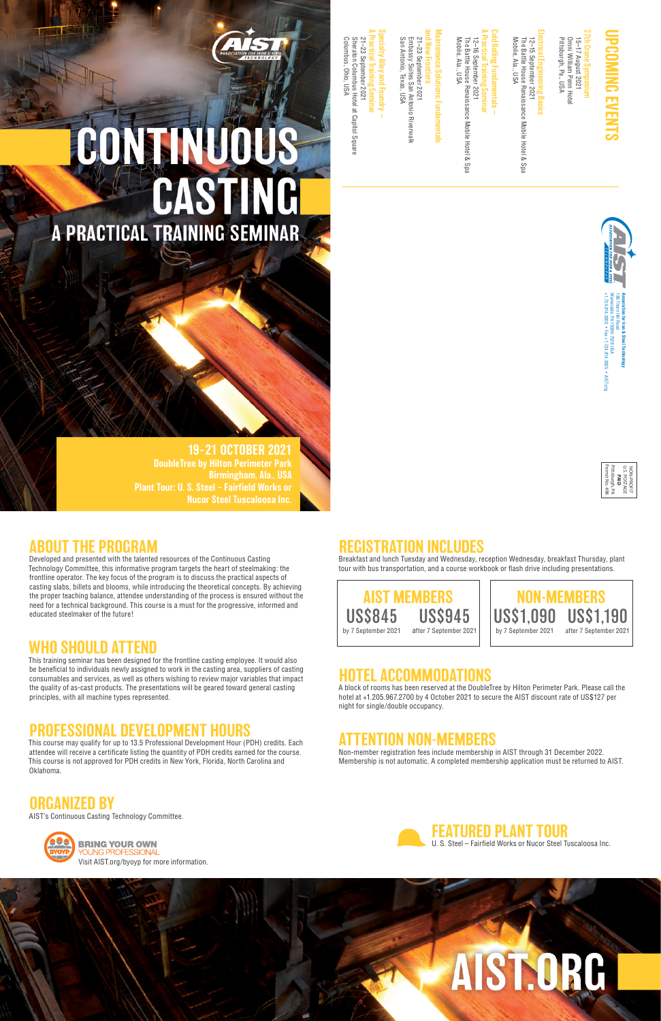#### ABOUT THE PROGRAM

Developed and presented with the talented resources of the Continuous Casting Technology Committee, this informative program targets the heart of steelmaking: the frontline operator. The key focus of the program is to discuss the practical aspects of casting slabs, billets and blooms, while introducing the theoretical concepts. By achieving the proper teaching balance, attendee understanding of the process is ensured without the need for a technical background. This course is a must for the progressive, informed and educated steelmaker of the future!

#### WHO SHOULD ATTEND

This training seminar has been designed for the frontline casting employee. It would also be beneficial to individuals newly assigned to work in the casting area, suppliers of casting consumables and services, as well as others wishing to review major variables that impact the quality of as-cast products. The presentations will be geared toward general casting principles, with all machine types represented.

#### **DEVELOPMENT HUUKS**

#### 27th Crane Symposium 15–17 August 2021 ane Symposium

15–17 August 2021<br>Omni William Penn Hotel<br>Pittsburgh, Pa., USA Pittsburgh, Pa., USA Omni William Penn Hotel

12–15 September 2021<br>The Battle House Renaissance Mobile Hotel & Spa<br>Mobile, Ala., USA Mobile, Ala., USA The Battle House Renaissance Mobile Hotel & Spa 12–15 September 2021

A Practical Training Seminar Mobile, Ala., USA The Battle House Renaissance Mobile Hotel & Spa 12–16 September 2021 2–16 September 2021<br>The Battle House Renaissance Mobile Hotel & Spa<br>Aobile, Ala., USA

### Cold Rolling Fundamentals — **Rolling Fundamentals**

## Maintenance Solutions: Fundamentals ntenance Solutions: Fundamentals

#### A Practical Training Seminar Specialty Alloy and Foundry — 21-23 September 2021 21–23 September 2021 ecialty Alloy and Foundry

Sheraton Columbus Hotel at Capitol Square Columbus, Ohio, USA Sheraton Columbus Hotel at Capitol Square Columbus, Ohio, USA

# **CONTRACTIONS**

This course may qualify for up to 13.5 Professional Development Hour (PDH) credits. Each

#### **AI IUN INCLUDES**

attendee will receive a certificate listing the quantity of PDH credits earned for the course. This course is not approved for PDH credits in New York, Florida, North Carolina and Oklahoma.

ORGANIZED BY AIST's Continuous Casting Technology Committee.



U.S. POSTAGE NON-PROFIT **PAID** Permit No. 498 Pittsburgh, PA



## UPCOMING EVENTS

## Electrical Engineering Basics

and New Frontiers Embassy Suites San Antonio Riverwalk<br>San Antonio, Texas, USA San Antonio, Texas, USA Embassy Suites San Antonio Riverwalk 21-23 September 2021 21–23 September 2021

Breakfast and lunch Tuesday and Wednesday, reception Wednesday, breakfast Thursday, plant tour with bus transportation, and a course workbook or flash drive including presentations.

#### HOTEL ACCOMMODATIONS

A block of rooms has been reserved at the DoubleTree by Hilton Perimeter Park. Please call the hotel at +1.205.967.2700 by 4 October 2021 to secure the AIST discount rate of US\$127 per night for single/double occupancy.

#### ITION NON-MEMBERS

Non-member registration fees include membership in AIST through 31 December 2022. Membership is not automatic. A completed membership application must be returned to AIST.









19–21 OCTOBER 2021 DoubleTree by Hilton Perimeter Park Birmingham, Ala., USA Plant Tour: U. S. Steel – Fairfield Works or Nucor Steel Tuscaloosa Inc.